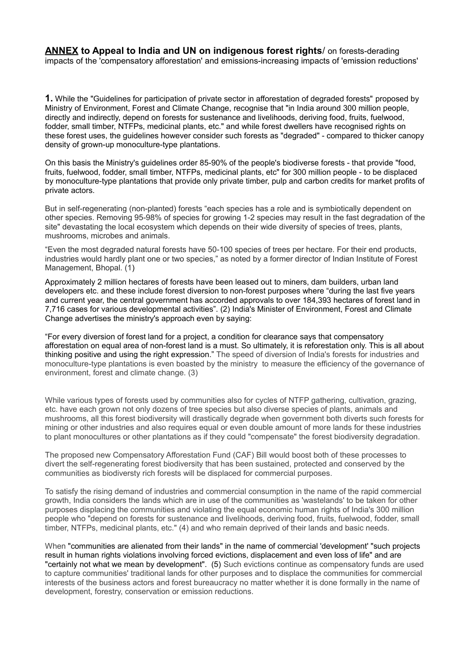**ANNEX to Appeal to India and UN on indigenous forest rights**/ on forests-derading impacts of the 'compensatory afforestation' and emissions-increasing impacts of 'emission reductions'

**1.** While the "Guidelines for participation of private sector in afforestation of degraded forests" proposed by Ministry of Environment, Forest and Climate Change, recognise that "in India around 300 million people, directly and indirectly, depend on forests for sustenance and livelihoods, deriving food, fruits, fuelwood, fodder, small timber, NTFPs, medicinal plants, etc." and while forest dwellers have recognised rights on these forest uses, the guidelines however consider such forests as "degraded" - compared to thicker canopy density of grown-up monoculture-type plantations.

On this basis the Ministry's guidelines order 85-90% of the people's biodiverse forests - that provide "food, fruits, fuelwood, fodder, small timber, NTFPs, medicinal plants, etc" for 300 million people - to be displaced by monoculture-type plantations that provide only private timber, pulp and carbon credits for market profits of private actors.

But in self-regenerating (non-planted) forests "each species has a role and is symbiotically dependent on other species. Removing 95-98% of species for growing 1-2 species may result in the fast degradation of the site" devastating the local ecosystem which depends on their wide diversity of species of trees, plants, mushrooms, microbes and animals.

"Even the most degraded natural forests have 50-100 species of trees per hectare. For their end products, industries would hardly plant one or two species," as noted by a former director of Indian Institute of Forest Management, Bhopal. (1)

Approximately 2 million hectares of forests have been leased out to miners, dam builders, urban land developers etc. and these include forest diversion to non-forest purposes where "during the last five years and current year, the central government has accorded approvals to over 184,393 hectares of forest land in 7,716 cases for various developmental activities". (2) India's Minister of Environment, Forest and Climate Change advertises the ministry's approach even by saying:

"For every diversion of forest land for a project, a condition for clearance says that compensatory afforestation on equal area of non-forest land is a must. So ultimately, it is reforestation only. This is all about thinking positive and using the right expression." The speed of diversion of India's forests for industries and monoculture-type plantations is even boasted by the ministry to measure the efficiency of the governance of environment, forest and climate change. (3)

While various types of forests used by communities also for cycles of NTFP gathering, cultivation, grazing, etc. have each grown not only dozens of tree species but also diverse species of plants, animals and mushrooms, all this forest biodiversity will drastically degrade when government both diverts such forests for mining or other industries and also requires equal or even double amount of more lands for these industries to plant monocultures or other plantations as if they could "compensate" the forest biodiversity degradation.

The proposed new Compensatory Afforestation Fund (CAF) Bill would boost both of these processes to divert the self-regenerating forest biodiversity that has been sustained, protected and conserved by the communities as biodiversty rich forests will be displaced for commercial purposes.

To satisfy the rising demand of industries and commercial consumption in the name of the rapid commercial growth, India considers the lands which are in use of the communities as 'wastelands' to be taken for other purposes displacing the communities and violating the equal economic human rights of India's 300 million people who "depend on forests for sustenance and livelihoods, deriving food, fruits, fuelwood, fodder, small timber, NTFPs, medicinal plants, etc." (4) and who remain deprived of their lands and basic needs.

When "communities are alienated from their lands" in the name of commercial 'development' "such projects result in human rights violations involving forced evictions, displacement and even loss of life" and are "certainly not what we mean by development". (5) Such evictions continue as compensatory funds are used to capture communities' traditional lands for other purposes and to displace the communities for commercial interests of the business actors and forest bureaucracy no matter whether it is done formally in the name of development, forestry, conservation or emission reductions.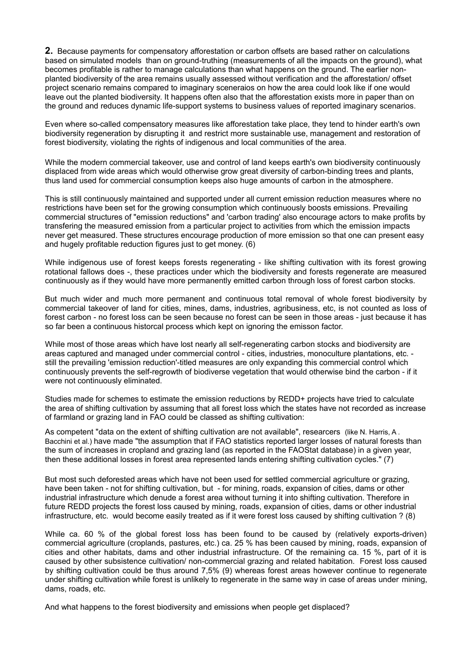**2.** Because payments for compensatory afforestation or carbon offsets are based rather on calculations based on simulated models than on ground-truthing (measurements of all the impacts on the ground), what becomes profitable is rather to manage calculations than what happens on the ground. The earlier nonplanted biodiversity of the area remains usually assessed without verification and the afforestation/ offset project scenario remains compared to imaginary sceneraios on how the area could look like if one would leave out the planted biodiversity. It happens often also that the afforestation exists more in paper than on the ground and reduces dynamic life-support systems to business values of reported imaginary scenarios.

Even where so-called compensatory measures like afforestation take place, they tend to hinder earth's own biodiversity regeneration by disrupting it and restrict more sustainable use, management and restoration of forest biodiversity, violating the rights of indigenous and local communities of the area.

While the modern commercial takeover, use and control of land keeps earth's own biodiversity continuously displaced from wide areas which would otherwise grow great diversity of carbon-binding trees and plants, thus land used for commercial consumption keeps also huge amounts of carbon in the atmosphere.

This is still continuously maintained and supported under all current emission reduction measures where no restrictions have been set for the growing consumption which continuously boosts emissions. Prevailing commercial structures of "emission reductions" and 'carbon trading' also encourage actors to make profits by transfering the measured emission from a particular project to activities from which the emission impacts never get measured. These structures encourage production of more emission so that one can present easy and hugely profitable reduction figures just to get money. (6)

While indigenous use of forest keeps forests regenerating - like shifting cultivation with its forest growing rotational fallows does -, these practices under which the biodiversity and forests regenerate are measured continuously as if they would have more permanently emitted carbon through loss of forest carbon stocks.

But much wider and much more permanent and continuous total removal of whole forest biodiversity by commercial takeover of land for cities, mines, dams, industries, agribusiness, etc, is not counted as loss of forest carbon - no forest loss can be seen because no forest can be seen in those areas - just because it has so far been a continuous historcal process which kept on ignoring the emisson factor.

While most of those areas which have lost nearly all self-regenerating carbon stocks and biodiversity are areas captured and managed under commercial control - cities, industries, monoculture plantations, etc. still the prevailing 'emission reduction'-titled measures are only expanding this commercial control which continuously prevents the self-regrowth of biodiverse vegetation that would otherwise bind the carbon - if it were not continuously eliminated.

Studies made for schemes to estimate the emission reductions by REDD+ projects have tried to calculate the area of shifting cultivation by assuming that all forest loss which the states have not recorded as increase of farmland or grazing land in FAO could be classed as shifting cultivation:

As competent "data on the extent of shifting cultivation are not available", researcers (like N. Harris, A. Bacchini et al.) have made "the assumption that if FAO statistics reported larger losses of natural forests than the sum of increases in cropland and grazing land (as reported in the FAOStat database) in a given year, then these additional losses in forest area represented lands entering shifting cultivation cycles." (7)

But most such deforested areas which have not been used for settled commercial agriculture or grazing, have been taken - not for shifting cultivation, but - for mining, roads, expansion of cities, dams or other industrial infrastructure which denude a forest area without turning it into shifting cultivation. Therefore in future REDD projects the forest loss caused by mining, roads, expansion of cities, dams or other industrial infrastructure, etc. would become easily treated as if it were forest loss caused by shifting cultivation ? (8)

While ca. 60 % of the global forest loss has been found to be caused by (relatively exports-driven) commercial agriculture (croplands, pastures, etc.) ca. 25 % has been caused by mining, roads, expansion of cities and other habitats, dams and other industrial infrastructure. Of the remaining ca. 15 %, part of it is caused by other subsistence cultivation/ non-commercial grazing and related habitation. Forest loss caused by shifting cultivation could be thus around 7,5% (9) whereas forest areas however continue to regenerate under shifting cultivation while forest is unlikely to regenerate in the same way in case of areas under mining, dams, roads, etc.

And what happens to the forest biodiversity and emissions when people get displaced?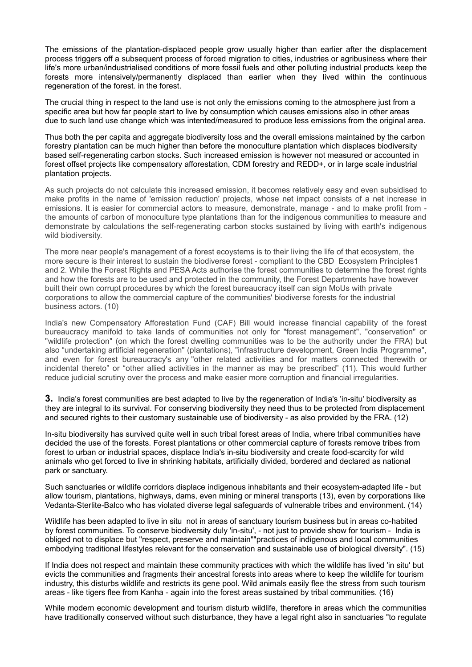The emissions of the plantation-displaced people grow usually higher than earlier after the displacement process triggers off a subsequent process of forced migration to cities, industries or agribusiness where their life's more urban/industrialised conditions of more fossil fuels and other polluting industrial products keep the forests more intensively/permanently displaced than earlier when they lived within the continuous regeneration of the forest. in the forest.

The crucial thing in respect to the land use is not only the emissions coming to the atmosphere just from a specific area but how far people start to live by consumption which causes emissions also in other areas due to such land use change which was intented/measured to produce less emissions from the original area.

Thus both the per capita and aggregate biodiversity loss and the overall emissions maintained by the carbon forestry plantation can be much higher than before the monoculture plantation which displaces biodiversity based self-regenerating carbon stocks. Such increased emission is however not measured or accounted in forest offset projects like compensatory afforestation, CDM forestry and REDD+, or in large scale industrial plantation projects.

As such projects do not calculate this increased emission, it becomes relatively easy and even subsidised to make profits in the name of 'emission reduction' projects, whose net impact consists of a net increase in emissions. It is easier for commercial actors to measure, demonstrate, manage - and to make profit from the amounts of carbon of monoculture type plantations than for the indigenous communities to measure and demonstrate by calculations the self-regenerating carbon stocks sustained by living with earth's indigenous wild biodiversity.

The more near people's management of a forest ecoystems is to their living the life of that ecosystem, the more secure is their interest to sustain the biodiverse forest - compliant to the CBD Ecosystem Principles1 and 2. While the Forest Rights and PESA Acts authorise the forest communities to determine the forest rights and how the forests are to be used and protected in the community, the Forest Departments have however built their own corrupt procedures by which the forest bureaucracy itself can sign MoUs with private corporations to allow the commercial capture of the communities' biodiverse forests for the industrial business actors. (10)

India's new Compensatory Afforestation Fund (CAF) Bill would increase financial capability of the forest bureaucracy manifold to take lands of communities not only for "forest management", "conservation" or "wildlife protection" (on which the forest dwelling communities was to be the authority under the FRA) but also "undertaking artificial regeneration" (plantations), "infrastructure development, Green India Programme", and even for forest bureaucracy's any "other related activities and for matters connected therewith or incidental thereto" or "other allied activities in the manner as may be prescribed" (11). This would further reduce judicial scrutiny over the process and make easier more corruption and financial irregularities.

**3.** India's forest communities are best adapted to live by the regeneration of India's 'in-situ' biodiversity as they are integral to its survival. For conserving biodiversity they need thus to be protected from displacement and secured rights to their customary sustainable use of biodiversity - as also provided by the FRA. (12)

In-situ biodiversity has survived quite well in such tribal forest areas of India, where tribal communities have decided the use of the forests. Forest plantations or other commercial capture of forests remove tribes from forest to urban or industrial spaces, displace India's in-situ biodiversity and create food-scarcity for wild animals who get forced to live in shrinking habitats, artificially divided, bordered and declared as national park or sanctuary.

Such sanctuaries or wildlife corridors displace indigenous inhabitants and their ecosystem-adapted life - but allow tourism, plantations, highways, dams, even mining or mineral transports (13), even by corporations like Vedanta-Sterlite-Balco who has violated diverse legal safeguards of vulnerable tribes and environment. (14)

Wildlife has been adapted to live in situ not in areas of sanctuary tourism business but in areas co-habited by forest communities. To conserve biodiversity duly 'in-situ', - not just to provide show for tourism - India is obliged not to displace but "respect, preserve and maintain""practices of indigenous and local communities embodying traditional lifestyles relevant for the conservation and sustainable use of biological diversity". (15)

If India does not respect and maintain these community practices with which the wildlife has lived 'in situ' but evicts the communities and fragments their ancestral forests into areas where to keep the wildlife for tourism industry, this disturbs wildlife and restricts its gene pool. Wild animals easily flee the stress from such tourism areas - like tigers flee from Kanha - again into the forest areas sustained by tribal communities. (16)

While modern economic development and tourism disturb wildlife, therefore in areas which the communities have traditionally conserved without such disturbance, they have a legal right also in sanctuaries "to regulate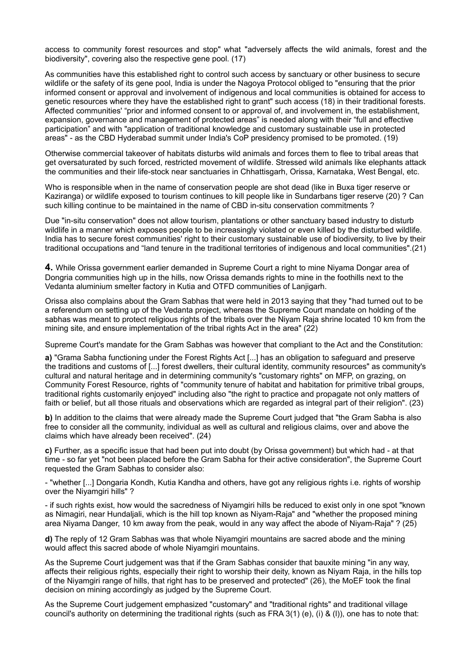access to community forest resources and stop" what "adversely affects the wild animals, forest and the biodiversity", covering also the respective gene pool. (17)

As communities have this established right to control such access by sanctuary or other business to secure wildlife or the safety of its gene pool, India is under the Nagoya Protocol obliged to "ensuring that the prior informed consent or approval and involvement of indigenous and local communities is obtained for access to genetic resources where they have the established right to grant" such access (18) in their traditional forests. Affected communities' "prior and informed consent to or approval of, and involvement in, the establishment, expansion, governance and management of protected areas" is needed along with their "full and effective participation" and with "application of traditional knowledge and customary sustainable use in protected areas" - as the CBD Hyderabad summit under India's CoP presidency promised to be promoted. (19)

Otherwise commercial takeover of habitats disturbs wild animals and forces them to flee to tribal areas that get oversaturated by such forced, restricted movement of wildlife. Stressed wild animals like elephants attack the communities and their life-stock near sanctuaries in Chhattisgarh, Orissa, Karnataka, West Bengal, etc.

Who is responsible when in the name of conservation people are shot dead (like in Buxa tiger reserve or Kaziranga) or wildlife exposed to tourism continues to kill people like in Sundarbans tiger reserve (20) ? Can such killing continue to be maintained in the name of CBD in-situ conservation commitments ?

Due "in-situ conservation" does not allow tourism, plantations or other sanctuary based industry to disturb wildlife in a manner which exposes people to be increasingly violated or even killed by the disturbed wildlife. India has to secure forest communities' right to their customary sustainable use of biodiversity, to live by their traditional occupations and "land tenure in the traditional territories of indigenous and local communities".(21)

**4.** While Orissa government earlier demanded in Supreme Court a right to mine Niyama Dongar area of Dongria communities high up in the hills, now Orissa demands rights to mine in the foothills next to the Vedanta aluminium smelter factory in Kutia and OTFD communities of Lanjigarh.

Orissa also complains about the Gram Sabhas that were held in 2013 saying that they "had turned out to be a referendum on setting up of the Vedanta project, whereas the Supreme Court mandate on holding of the sabhas was meant to protect religious rights of the tribals over the Niyam Raja shrine located 10 km from the mining site, and ensure implementation of the tribal rights Act in the area" (22)

Supreme Court's mandate for the Gram Sabhas was however that compliant to the Act and the Constitution:

**a)** "Grama Sabha functioning under the Forest Rights Act [...] has an obligation to safeguard and preserve the traditions and customs of [...] forest dwellers, their cultural identity, community resources" as community's cultural and natural heritage and in determining community's "customary rights" on MFP, on grazing, on Community Forest Resource, rights of "community tenure of habitat and habitation for primitive tribal groups, traditional rights customarily enjoyed" including also "the right to practice and propagate not only matters of faith or belief, but all those rituals and observations which are regarded as integral part of their religion". (23)

**b)** In addition to the claims that were already made the Supreme Court judged that "the Gram Sabha is also free to consider all the community, individual as well as cultural and religious claims, over and above the claims which have already been received". (24)

**c)** Further, as a specific issue that had been put into doubt (by Orissa government) but which had - at that time - so far yet "not been placed before the Gram Sabha for their active consideration", the Supreme Court requested the Gram Sabhas to consider also:

- "whether [...] Dongaria Kondh, Kutia Kandha and others, have got any religious rights i.e. rights of worship over the Niyamgiri hills" ?

- if such rights exist, how would the sacredness of Niyamgiri hills be reduced to exist only in one spot "known as Nimagiri, near Hundaljali, which is the hill top known as Niyam-Raja" and "whether the proposed mining area Niyama Danger, 10 km away from the peak, would in any way affect the abode of Niyam-Raja" ? (25)

**d)** The reply of 12 Gram Sabhas was that whole Niyamgiri mountains are sacred abode and the mining would affect this sacred abode of whole Niyamgiri mountains.

As the Supreme Court judgement was that if the Gram Sabhas consider that bauxite mining "in any way, affects their religious rights, especially their right to worship their deity, known as Niyam Raja, in the hills top of the Niyamgiri range of hills, that right has to be preserved and protected" (26), the MoEF took the final decision on mining accordingly as judged by the Supreme Court.

As the Supreme Court judgement emphasized "customary" and "traditional rights" and traditional village council's authority on determining the traditional rights (such as FRA  $3(1)$  (e), (i) & (l)), one has to note that: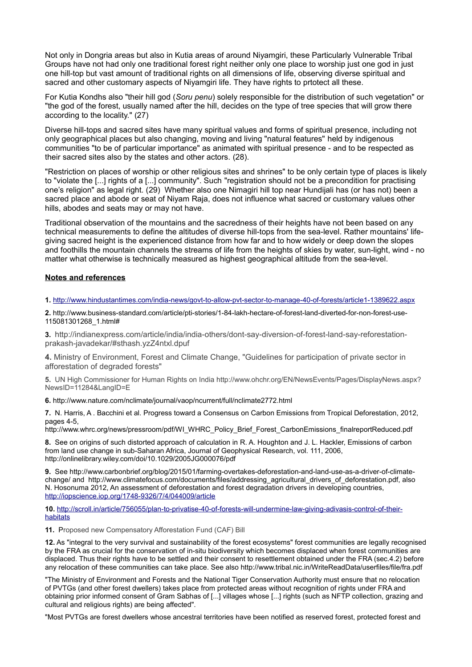Not only in Dongria areas but also in Kutia areas of around Niyamgiri, these Particularly Vulnerable Tribal Groups have not had only one traditional forest right neither only one place to worship just one god in just one hill-top but vast amount of traditional rights on all dimensions of life, observing diverse spiritual and sacred and other customary aspects of Niyamgiri life. They have rights to prtotect all these.

For Kutia Kondhs also "their hill god (*Soru penu*) solely responsible for the distribution of such vegetation" or "the god of the forest, usually named after the hill, decides on the type of tree species that will grow there according to the locality." (27)

Diverse hill-tops and sacred sites have many spiritual values and forms of spiritual presence, including not only geographical places but also changing, moving and living "natural features" held by indigenous communities "to be of particular importance" as animated with spiritual presence - and to be respected as their sacred sites also by the states and other actors. (28).

"Restriction on places of worship or other religious sites and shrines" to be only certain type of places is likely to "violate the [...] rights of a [...] community". Such "registration should not be a precondition for practising one's religion" as legal right. (29) Whether also one Nimagiri hill top near Hundijali has (or has not) been a sacred place and abode or seat of Niyam Raja, does not influence what sacred or customary values other hills, abodes and seats may or may not have.

Traditional observation of the mountains and the sacredness of their heights have not been based on any technical measurements to define the altitudes of diverse hill-tops from the sea-level. Rather mountains' lifegiving sacred height is the experienced distance from how far and to how widely or deep down the slopes and foothills the mountain channels the streams of life from the heights of skies by water, sun-light, wind - no matter what otherwise is technically measured as highest geographical altitude from the sea-level.

## **Notes and references**

## **1.** <http://www.hindustantimes.com/india-news/govt-to-allow-pvt-sector-to-manage-40-of-forests/article1-1389622.aspx>

**2.** http://www.business-standard.com/article/pti-stories/1-84-lakh-hectare-of-forest-land-diverted-for-non-forest-use-115081301268\_1.html#

**3.** http://indianexpress.com/article/india/india-others/dont-say-diversion-of-forest-land-say-reforestationprakash-javadekar/#sthash.yzZ4ntxl.dpuf

**4.** Ministry of Environment, Forest and Climate Change, "Guidelines for participation of private sector in afforestation of degraded forests"

**5.** UN High Commissioner for Human Rights on India http://www.ohchr.org/EN/NewsEvents/Pages/DisplayNews.aspx? NewsID=11284&LangID=E

**6.** http://www.nature.com/nclimate/journal/vaop/ncurrent/full/nclimate2772.html

**7.** N. Harris, A . Bacchini et al. Progress toward a Consensus on Carbon Emissions from Tropical Deforestation, 2012, pages 4-5,

http://www.whrc.org/news/pressroom/pdf/WI\_WHRC\_Policy\_Brief\_Forest\_CarbonEmissions\_finalreportReduced.pdf

**8.** See on origins of such distorted approach of calculation in R. A. Houghton and J. L. Hackler, Emissions of carbon from land use change in sub-Saharan Africa, Journal of Geophysical Research, vol. 111, 2006, http://onlinelibrary.wiley.com/doi/10.1029/2005JG000076/pdf

**9.** See http://www.carbonbrief.org/blog/2015/01/farming-overtakes-deforestation-and-land-use-as-a-driver-of-climatechange/ and http://www.climatefocus.com/documents/files/addressing agricultural drivers of deforestation.pdf, also N. Hosonuma 2012, An assessment of deforestation and forest degradation drivers in developing countries, <http://iopscience.iop.org/1748-9326/7/4/044009/article>

**10.** [http://scroll.in/article/756055/plan-to-privatise-40-of-forests-will-undermine-law-giving-adivasis-control-of-their](http://scroll.in/article/756055/plan-to-privatise-40-of-forests-will-undermine-law-giving-adivasis-control-of-their-habitats)[habitats](http://scroll.in/article/756055/plan-to-privatise-40-of-forests-will-undermine-law-giving-adivasis-control-of-their-habitats)

**11.** Proposed new Compensatory Afforestation Fund (CAF) Bill

**12.** As "integral to the very survival and sustainability of the forest ecosystems" forest communities are legally recognised by the FRA as crucial for the conservation of in-situ biodiversity which becomes displaced when forest communities are displaced. Thus their rights have to be settled and their consent to resettlement obtained under the FRA (sec.4.2) before any relocation of these communities can take place. See also http://www.tribal.nic.in/WriteReadData/userfiles/file/fra.pdf

"The Ministry of Environment and Forests and the National Tiger Conservation Authority must ensure that no relocation of PVTGs (and other forest dwellers) takes place from protected areas without recognition of rights under FRA and obtaining prior informed consent of Gram Sabhas of [...] villages whose [...] rights (such as NFTP collection, grazing and cultural and religious rights) are being affected".

"Most PVTGs are forest dwellers whose ancestral territories have been notified as reserved forest, protected forest and